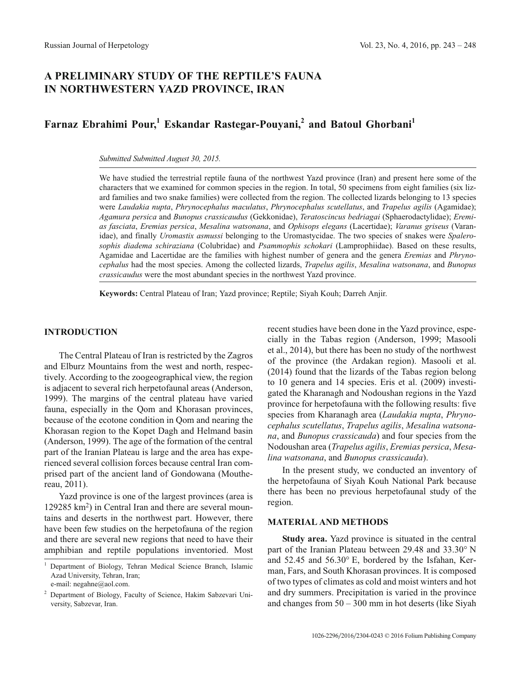# **A PRELIMINARY STUDY OF THE REPTILE'S FAUNA IN NORTHWESTERN YAZD PROVINCE, IRAN**

# **Farnaz Ebrahimi Pour,<sup>1</sup> Eskandar Rastegar-Pouyani,<sup>2</sup> and Batoul Ghorbani<sup>1</sup>**

*Submitted Submitted August 30, 2015.*

We have studied the terrestrial reptile fauna of the northwest Yazd province (Iran) and present here some of the characters that we examined for common species in the region. In total, 50 specimens from eight families (six lizard families and two snake families) were collected from the region. The collected lizards belonging to 13 species were *Laudakia nupta*, *Phrynocephalus maculatus*, *Phrynocephalus scutellatus*, and *Trapelus agilis* (Agamidae); *Agamura persica* and *Bunopus crassicaudus* (Gekkonidae), *Teratoscincus bedriagai* (Sphaerodactylidae); *Eremias fasciata*, *Eremias persica*, *Mesalina watsonana*, and *Ophisops elegans* (Lacertidae); *Varanus griseus* (Varanidae), and finally *Uromastix asmussi* belonging to the Uromastycidae. The two species of snakes were *Spalerosophis diadema schiraziana* (Colubridae) and *Psammophis schokari* (Lamprophiidae). Based on these results, Agamidae and Lacertidae are the families with highest number of genera and the genera *Eremias* and *Phrynocephalus* had the most species. Among the collected lizards, *Trapelus agilis*, *Mesalina watsonana*, and *Bunopus crassicaudus* were the most abundant species in the northwest Yazd province.

**Keywords:** Central Plateau of Iran; Yazd province; Reptile; Siyah Kouh; Darreh Anjir.

#### **INTRODUCTION**

The Central Plateau of Iran is restricted by the Zagros and Elburz Mountains from the west and north, respectively. According to the zoogeographical view, the region is adjacent to several rich herpetofaunal areas (Anderson, 1999). The margins of the central plateau have varied fauna, especially in the Qom and Khorasan provinces, because of the ecotone condition in Qom and nearing the Khorasan region to the Kopet Dagh and Helmand basin (Anderson, 1999). The age of the formation of the central part of the Iranian Plateau is large and the area has experienced several collision forces because central Iran comprised part of the ancient land of Gondowana (Mouthereau, 2011).

Yazd province is one of the largest provinces (area is 129285 km2) in Central Iran and there are several mountains and deserts in the northwest part. However, there have been few studies on the herpetofauna of the region and there are several new regions that need to have their amphibian and reptile populations inventoried. Most recent studies have been done in the Yazd province, especially in the Tabas region (Anderson, 1999; Masooli et al., 2014), but there has been no study of the northwest of the province (the Ardakan region). Masooli et al. (2014) found that the lizards of the Tabas region belong to 10 genera and 14 species. Eris et al. (2009) investigated the Kharanagh and Nodoushan regions in the Yazd province for herpetofauna with the following results: five species from Kharanagh area (*Laudakia nupta*, *Phrynocephalus scutellatus*, *Trapelus agilis*, *Mesalina watsonana*, and *Bunopus crassicauda*) and four species from the Nodoushan area (*Trapelus agilis*, *Eremias persica*, *Mesalina watsonana*, and *Bunopus crassicauda*).

In the present study, we conducted an inventory of the herpetofauna of Siyah Kouh National Park because there has been no previous herpetofaunal study of the region.

## **MATERIAL AND METHODS**

**Study area.** Yazd province is situated in the central part of the Iranian Plateau between 29.48 and 33.30° N and 52.45 and 56.30° E, bordered by the Isfahan, Kerman, Fars, and South Khorasan provinces. It is composed of two types of climates as cold and moist winters and hot and dry summers. Precipitation is varied in the province and changes from 50 – 300 mm in hot deserts (like Siyah

<sup>1</sup> Department of Biology, Tehran Medical Science Branch, Islamic Azad University, Tehran, Iran; e-mail: negahne@aol.com.

<sup>2</sup> Department of Biology, Faculty of Science, Hakim Sabzevari University, Sabzevar, Iran.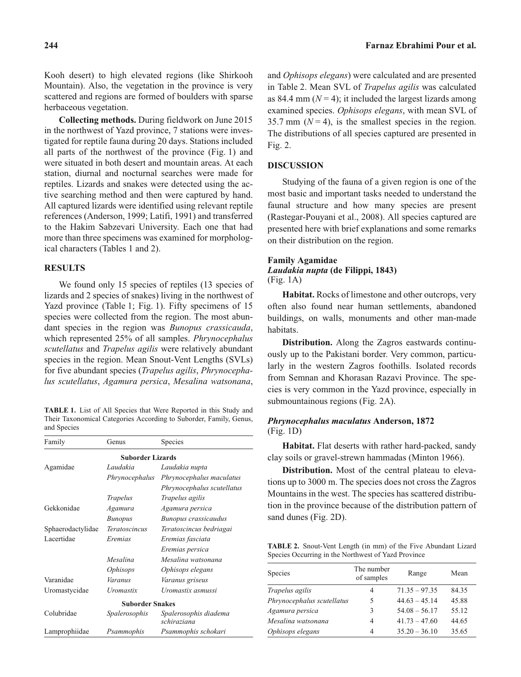herbaceous vegetation. **Collecting methods.** During fieldwork on June 2015 in the northwest of Yazd province, 7 stations were investigated for reptile fauna during 20 days. Stations included all parts of the northwest of the province (Fig. 1) and were situated in both desert and mountain areas. At each station, diurnal and nocturnal searches were made for reptiles. Lizards and snakes were detected using the active searching method and then were captured by hand. All captured lizards were identified using relevant reptile references (Anderson, 1999; Latifi, 1991) and transferred to the Hakim Sabzevari University. Each one that had more than three specimens was examined for morphological characters (Tables 1 and 2).

### **RESULTS**

We found only 15 species of reptiles (13 species of lizards and 2 species of snakes) living in the northwest of Yazd province (Table 1; Fig. 1). Fifty specimens of 15 species were collected from the region. The most abundant species in the region was *Bunopus crassicauda*, which represented 25% of all samples. *Phrynocephalus scutellatus* and *Trapelus agilis* were relatively abundant species in the region. Mean Snout-Vent Lengths (SVLs) for five abundant species (*Trapelus agilis*, *Phrynocephalus scutellatus*, *Agamura persica*, *Mesalina watsonana*,

**TABLE 1.** List of All Species that Were Reported in this Study and Their Taxonomical Categories According to Suborder, Family, Genus, and Species

| Family                  | Genus                | Species                              |  |  |
|-------------------------|----------------------|--------------------------------------|--|--|
| <b>Suborder Lizards</b> |                      |                                      |  |  |
| Agamidae                | Laudakia             | Laudakia nupta                       |  |  |
|                         | Phrynocephalus       | Phrynocephalus maculatus             |  |  |
|                         |                      | Phrynocephalus scutellatus           |  |  |
|                         | <b>Trapelus</b>      | Trapelus agilis                      |  |  |
| Gekkonidae              | Agamura              | Agamura persica                      |  |  |
|                         | <b>Bunopus</b>       | Bunopus crassicaudus                 |  |  |
| Sphaerodactylidae       | <i>Teratoscincus</i> | Teratoscincus bedriagai              |  |  |
| Lacertidae              | Eremias              | Eremias fasciata                     |  |  |
|                         |                      | Eremias persica                      |  |  |
|                         | Mesalina             | Mesalina watsonana                   |  |  |
|                         | <i>Ophisops</i>      | Ophisops elegans                     |  |  |
| Varanidae               | Varanus              | Varanus griseus                      |  |  |
| Uromastycidae           | Uromastix            | Uromastix asmussi                    |  |  |
| <b>Suborder Snakes</b>  |                      |                                      |  |  |
| Colubridae              | Spalerosophis        | Spalerosophis diadema<br>schiraziana |  |  |
| Lamprophiidae           | Psammophis           | Psammophis schokari                  |  |  |

and *Ophisops elegans*) were calculated and are presented in Table 2. Mean SVL of *Trapelus agilis* was calculated as 84.4 mm  $(N = 4)$ ; it included the largest lizards among examined species. *Ophisops elegans*, with mean SVL of 35.7 mm  $(N=4)$ , is the smallest species in the region. The distributions of all species captured are presented in Fig. 2.

#### **DISCUSSION**

Studying of the fauna of a given region is one of the most basic and important tasks needed to understand the faunal structure and how many species are present (Rastegar-Pouyani et al., 2008). All species captured are presented here with brief explanations and some remarks on their distribution on the region.

#### **Family Agamidae** *Laudakia nupta* **(de Filippi, 1843)** (Fig. 1A)

**Habitat.** Rocks of limestone and other outcrops, very often also found near human settlements, abandoned buildings, on walls, monuments and other man-made habitats.

**Distribution.** Along the Zagros eastwards continuously up to the Pakistani border. Very common, particularly in the western Zagros foothills. Isolated records from Semnan and Khorasan Razavi Province. The species is very common in the Yazd province, especially in submountainous regions (Fig. 2A).

#### *Phrynocephalus maculatus* **Anderson, 1872** (Fig. 1D)

**Habitat.** Flat deserts with rather hard-packed, sandy clay soils or gravel-strewn hammadas (Minton 1966).

**Distribution.** Most of the central plateau to elevations up to 3000 m. The species does not cross the Zagros Mountains in the west. The species has scattered distribution in the province because of the distribution pattern of sand dunes (Fig. 2D).

**TABLE 2.** Snout-Vent Length (in mm) of the Five Abundant Lizard Species Occurring in the Northwest of Yazd Province

| Species                    | The number<br>of samples | Range           | Mean  |
|----------------------------|--------------------------|-----------------|-------|
| Trapelus agilis            | 4                        | $71.35 - 97.35$ | 84.35 |
| Phrynocephalus scutellatus | 5                        | $44.63 - 45.14$ | 45.88 |
| Agamura persica            | 3                        | $54.08 - 56.17$ | 55.12 |
| Mesalina watsonana         | 4                        | $41.73 - 47.60$ | 44.65 |
| Ophisops elegans           | 4                        | $35.20 - 36.10$ | 35.65 |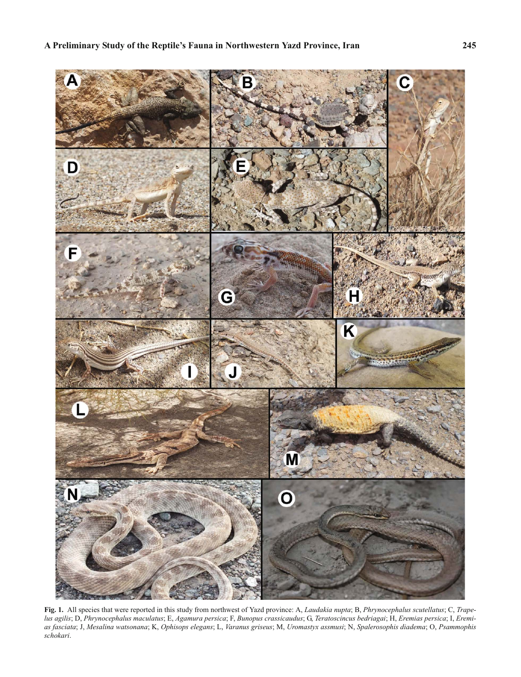

**Fig. 1.** All species that were reported in this study from northwest of Yazd province: A, *Laudakia nupta*; B, *Phrynocephalus scutellatus*; C, *Trapelus agilis*; D, *Phrynocephalus maculatus*; E, *Agamura persica*; F, *Bunopus crassicaudus*; G, *Teratoscincus bedriagai*; H, *Eremias persica*; I, *Eremias fasciata*; J, *Mesalina watsonana*; K, *Ophisops elegans*; L, *Varanus griseus*; M, *Uromastyx assmusi*; N, *Spalerosophis diadema*; O, *Psammophis schokari*.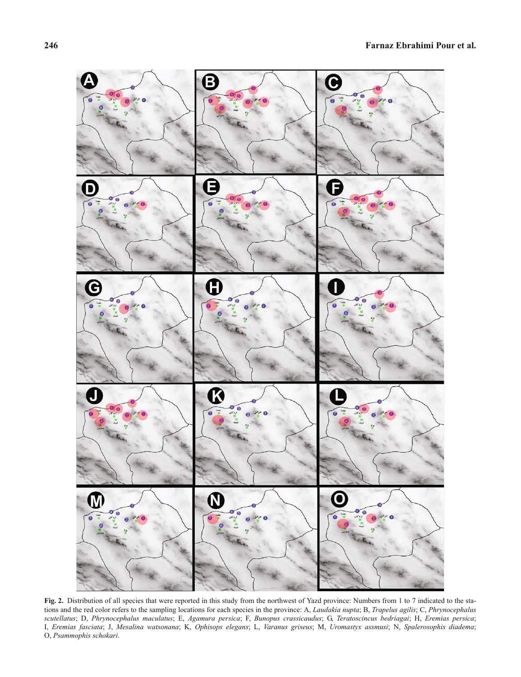

Fig. 2. Distribution of all species that were reported in this study from the northwest of Yazd province: Numbers from 1 to 7 indicated to the stations and the red color refers to the sampling locations for each species in the province: A, *Laudakia nupta*; B, *Trapelus agilis*; C, *Phrynocephalus scutellatus*; D, *Phrynocephalus maculatus*; E, *Agamura persica*; F, *Bunopus crassicaudus*; G, *Teratoscincus bedriagai*; H, *Eremias persica*; I, *Eremias fasciata*; J, *Mesalina watsonana*; K, *Ophisops elegans*; L, *Varanus griseus*; M, *Uromastyx assmusi*; N, *Spalerosophis diadema*; O, *Psammophis schokari*.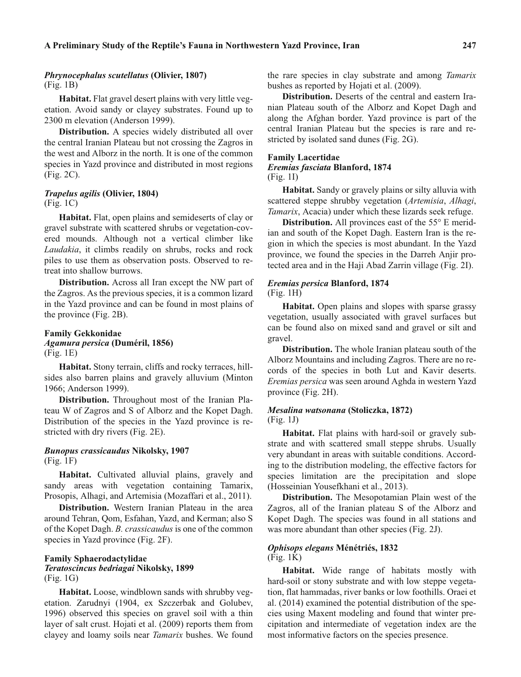#### *Phrynocephalus scutellatus* **(Olivier, 1807)** (Fig. 1B)

**Habitat.** Flat gravel desert plains with very little vegetation. Avoid sandy or clayey substrates. Found up to 2300 m elevation (Anderson 1999).

**Distribution.** A species widely distributed all over the central Iranian Plateau but not crossing the Zagros in the west and Alborz in the north. It is one of the common species in Yazd province and distributed in most regions (Fig. 2C).

#### *Trapelus agilis* **(Olivier, 1804)** (Fig. 1C)

**Habitat.** Flat, open plains and semideserts of clay or gravel substrate with scattered shrubs or vegetation-covered mounds. Although not a vertical climber like *Laudakia*, it climbs readily on shrubs, rocks and rock piles to use them as observation posts. Observed to retreat into shallow burrows.

**Distribution.** Across all Iran except the NW part of the Zagros. As the previous species, it is a common lizard in the Yazd province and can be found in most plains of the province (Fig. 2B).

#### **Family Gekkonidae** *Agamura persica* **(Duméril, 1856)** (Fig. 1E)

**Habitat.** Stony terrain, cliffs and rocky terraces, hillsides also barren plains and gravely alluvium (Minton 1966; Anderson 1999).

**Distribution.** Throughout most of the Iranian Plateau W of Zagros and S of Alborz and the Kopet Dagh. Distribution of the species in the Yazd province is restricted with dry rivers (Fig. 2E).

## *Bunopus crassicaudus* **Nikolsky, 1907** (Fig. 1F)

**Habitat.** Cultivated alluvial plains, gravely and sandy areas with vegetation containing Tamarix, Prosopis, Alhagi, and Artemisia (Mozaffari et al., 2011).

**Distribution.** Western Iranian Plateau in the area around Tehran, Qom, Esfahan, Yazd, and Kerman; also S of the Kopet Dagh. *B. crassicaudus* is one of the common species in Yazd province (Fig. 2F).

#### **Family Sphaerodactylidae** *Teratoscincus bedriagai* **Nikolsky, 1899** (Fig. 1G)

**Habitat.** Loose, windblown sands with shrubby vegetation. Zarudnyi (1904, ex Szczerbak and Golubev, 1996) observed this species on gravel soil with a thin layer of salt crust. Hojati et al. (2009) reports them from clayey and loamy soils near *Tamarix* bushes. We found the rare species in clay substrate and among *Tamarix* bushes as reported by Hojati et al. (2009).

**Distribution.** Deserts of the central and eastern Iranian Plateau south of the Alborz and Kopet Dagh and along the Afghan border. Yazd province is part of the central Iranian Plateau but the species is rare and restricted by isolated sand dunes (Fig. 2G).

## **Family Lacertidae**

#### *Eremias fasciata* **Blanford, 1874** (Fig. 1I)

**Habitat.** Sandy or gravely plains or silty alluvia with scattered steppe shrubby vegetation (*Artemisia*, *Alhagi*, *Tamarix*, Acacia) under which these lizards seek refuge.

**Distribution.** All provinces east of the 55° E meridian and south of the Kopet Dagh. Eastern Iran is the region in which the species is most abundant. In the Yazd province, we found the species in the Darreh Anjir protected area and in the Haji Abad Zarrin village (Fig. 2I).

#### *Eremias persica* **Blanford, 1874** (Fig. 1H)

**Habitat.** Open plains and slopes with sparse grassy vegetation, usually associated with gravel surfaces but can be found also on mixed sand and gravel or silt and gravel.

**Distribution.** The whole Iranian plateau south of the Alborz Mountains and including Zagros. There are no records of the species in both Lut and Kavir deserts. *Eremias persica* was seen around Aghda in western Yazd province (Fig. 2H).

#### *Mesalina watsonana* **(Stoliczka, 1872)** (Fig. 1J)

**Habitat.** Flat plains with hard-soil or gravely substrate and with scattered small steppe shrubs. Usually very abundant in areas with suitable conditions. According to the distribution modeling, the effective factors for species limitation are the precipitation and slope (Hosseinian Yousefkhani et al., 2013).

**Distribution.** The Mesopotamian Plain west of the Zagros, all of the Iranian plateau S of the Alborz and Kopet Dagh. The species was found in all stations and was more abundant than other species (Fig. 2J).

## *Ophisops elegans* **Ménétriés, 1832**

#### (Fig. 1K)

**Habitat.** Wide range of habitats mostly with hard-soil or stony substrate and with low steppe vegetation, flat hammadas, river banks or low foothills. Oraei et al. (2014) examined the potential distribution of the species using Maxent modeling and found that winter precipitation and intermediate of vegetation index are the most informative factors on the species presence.